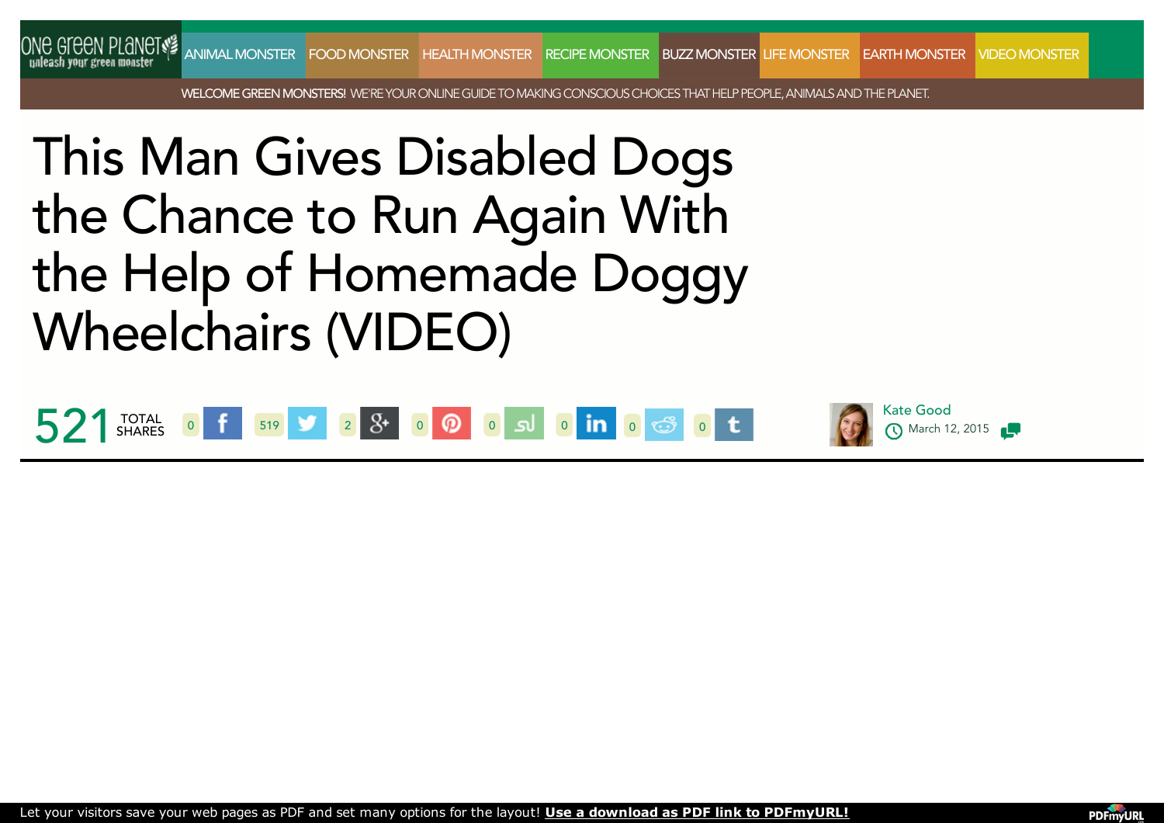

WELCOME GREEN MONSTERS! WE'RE YOUR ONLINE GUIDE TO MAKING CONSCIOUS CHOICES THAT HELP PEOPLE. ANIMALS AND THE PLANET.

## This Man Gives Disabled Dogs the Chance to Run Again With the Help of Homemade Doggy **Wheelchairs (VIDEO)**



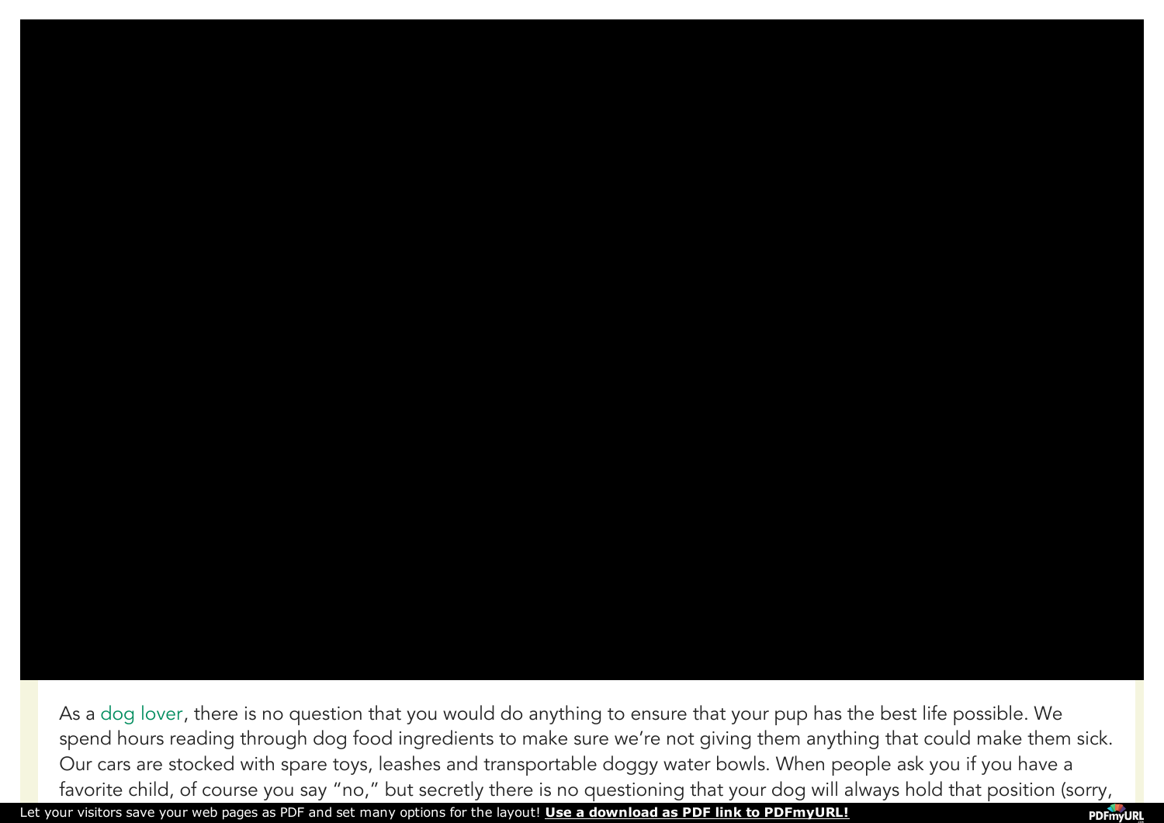As a dog [lover](http://www.onegreenplanet.org/news/break-the-puppy-mill-cycle-one-video-every-dog-lover-should-watch-and-share/), there is no question that you would do anything to ensure that your pup has the best life possible. We spend hours reading through dog food ingredients to make sure we're not giving them anything that could make them sick. Our cars are stocked with spare toys, leashes and transportable doggy water bowls. When people ask you if you have a favorite child, of course you say "no," but secretly there is no questioning that your dog will always hold that position (sorry,

Let your visitors save your web pages as PDF and set many options for the layout! **Use a download as PDF link to [PDFmyURL!](http://pdfmyurl.com/save-as-pdf?src=pdf)**

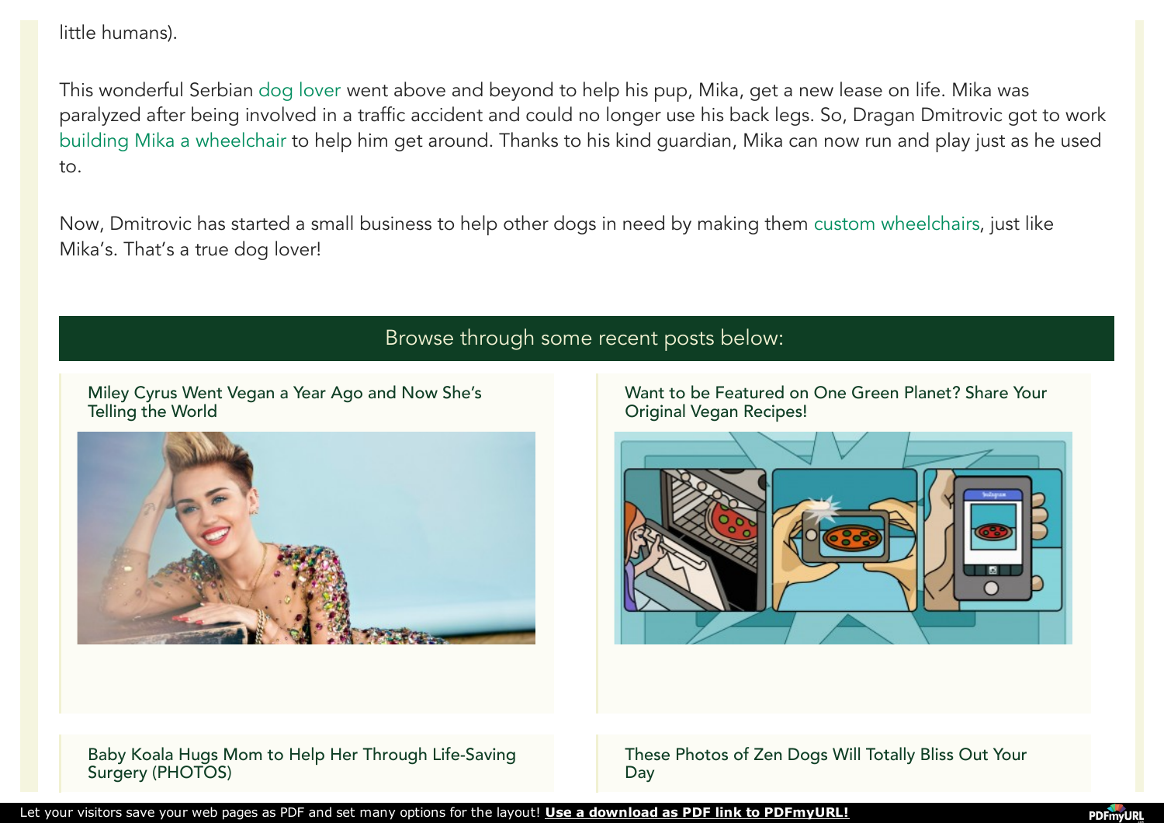little humans).

This wonderful Serbian dog [lover](http://www.onegreenplanet.org/animalsandnature/signs-you-are-a-hopeless-animal-lover/) went above and beyond to help his pup, Mika, get a new lease on life. Mika was paralyzed after being involved in a traffic accident and could no longer use his back legs. So, Dragan Dmitrovic got to work building Mika a [wheelchair](http://www.onegreenplanet.org/news/dogs-in-wheelchairs-play-fetch-video/) to help him get around. Thanks to his kind guardian, Mika can now run and play just as he used to.

Now, Dmitrovic has started a small business to help other dogs in need by making them custom [wheelchairs](http://www.onegreenplanet.org/news/this-chair-saved-this-dogs-life/comment-page-1/), just like Mika's. That's a true dog lover!

## Browse through some recent posts below:

Miley Cyrus Went Vegan a Year Ago and Now She's [Telling](http://www.onegreenplanet.org/news/miley-cyrus-vegan/) the World



Want to be Featured on One Green Planet? Share Your Original Vegan [Recipes!](http://www.onegreenplanet.org/news/share-your-original-eatfortheplanet-recipes/)



Baby Koala Hugs Mom to Help Her Through Life-Saving Surgery [\(PHOTOS\)](http://www.onegreenplanet.org/news/baby-koala-hugs-mom-during-surgery/)

These Photos of Zen Dogs Will Totally Bliss Out Your [Day](http://www.onegreenplanet.org/news/photos-of-zen-dogs/)